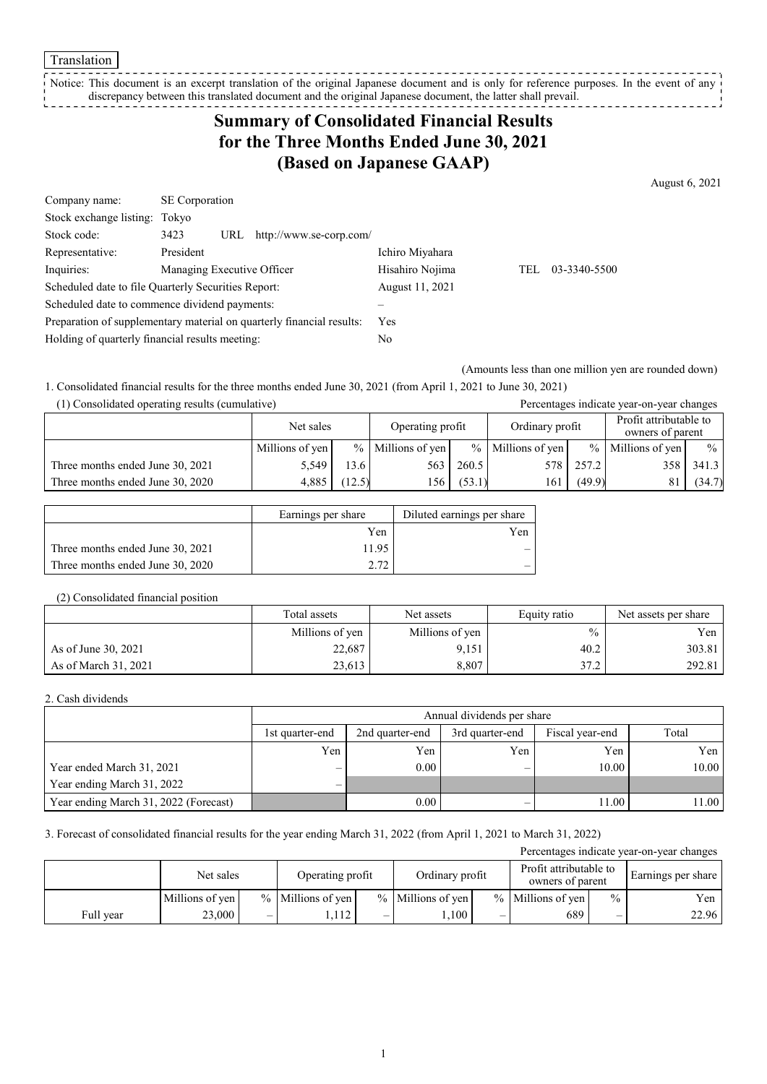Translation

Notice: This document is an excerpt translation of the original Japanese document and is only for reference purposes. In the event of any discrepancy between this translated document and the original Japanese document, the latter shall prevail. 

# **Summary of Consolidated Financial Results for the Three Months Ended June 30, 2021 (Based on Japanese GAAP)**

August 6, 2021

| Company name:                                       | <b>SE</b> Corporation      |                                                                       |                 |     |              |
|-----------------------------------------------------|----------------------------|-----------------------------------------------------------------------|-----------------|-----|--------------|
| Stock exchange listing: Tokyo                       |                            |                                                                       |                 |     |              |
| Stock code:                                         | 3423<br>URL                | http://www.se-corp.com/                                               |                 |     |              |
| Representative:                                     | President                  |                                                                       | Ichiro Miyahara |     |              |
| Inquiries:                                          | Managing Executive Officer |                                                                       | Hisahiro Nojima | TEL | 03-3340-5500 |
| Scheduled date to file Quarterly Securities Report: |                            |                                                                       | August 11, 2021 |     |              |
| Scheduled date to commence dividend payments:       |                            |                                                                       |                 |     |              |
|                                                     |                            | Preparation of supplementary material on quarterly financial results: | Yes.            |     |              |
| Holding of quarterly financial results meeting:     |                            |                                                                       | No              |     |              |

(Amounts less than one million yen are rounded down)

1. Consolidated financial results for the three months ended June 30, 2021 (from April 1, 2021 to June 30, 2021)

| (1) Consolidated operating results (cumulative) |                 |                  |                     |                 |                     |                                            | Percentages indicate year-on-year changes |               |
|-------------------------------------------------|-----------------|------------------|---------------------|-----------------|---------------------|--------------------------------------------|-------------------------------------------|---------------|
|                                                 | Net sales       | Operating profit |                     | Ordinary profit |                     | Profit attributable to<br>owners of parent |                                           |               |
|                                                 | Millions of yen |                  | $%$ Millions of yen |                 | $%$ Millions of yen |                                            | $%$ Millions of yen                       | $\frac{0}{0}$ |
| Three months ended June 30, 2021                | 5.549           | 13.6             | 563                 | 260.5           | 578                 | 257.2                                      | 358                                       | 341.3         |
| Three months ended June 30, 2020                | 4.885           | (12.5)           | l 56                | (53.1)          | 161                 | (49.9)                                     |                                           | (34.7)        |

|                                  | Earnings per share | Diluted earnings per share |
|----------------------------------|--------------------|----------------------------|
|                                  | Yen                | Yen                        |
| Three months ended June 30, 2021 | 11.95              |                            |
| Three months ended June 30, 2020 | ר ר                |                            |

#### (2) Consolidated financial position

|                      | Total assets    | Net assets      | Equity ratio  | Net assets per share |
|----------------------|-----------------|-----------------|---------------|----------------------|
|                      | Millions of yen | Millions of yen | $\frac{0}{0}$ | Yen                  |
| As of June 30, 2021  | 22,687          | 9,151           | 40.2          | 303.81               |
| As of March 31, 2021 | 23,613          | 8,807           | 37.2          | 292.81               |

#### 2. Cash dividends

|                                       |                          | Annual dividends per share                                     |     |       |       |  |  |  |
|---------------------------------------|--------------------------|----------------------------------------------------------------|-----|-------|-------|--|--|--|
|                                       | 1st quarter-end          | Total<br>Fiscal year-end<br>3rd quarter-end<br>2nd quarter-end |     |       |       |  |  |  |
|                                       | Yen                      | Yen                                                            | Yen | Yen   | Yen   |  |  |  |
| Year ended March 31, 2021             | $\overline{\phantom{0}}$ | 0.00                                                           | –   | 10.00 | 10.00 |  |  |  |
| Year ending March 31, 2022            | $\overline{\phantom{0}}$ |                                                                |     |       |       |  |  |  |
| Year ending March 31, 2022 (Forecast) |                          | 0.00                                                           | –   | 11.00 | 11.00 |  |  |  |

#### 3. Forecast of consolidated financial results for the year ending March 31, 2022 (from April 1, 2021 to March 31, 2022)

| Percentages indicate year-on-year changes |                 |                          |                     |                  |                     |                 |                     |                                            |                    |
|-------------------------------------------|-----------------|--------------------------|---------------------|------------------|---------------------|-----------------|---------------------|--------------------------------------------|--------------------|
|                                           | Net sales       |                          |                     | Operating profit |                     | Ordinary profit |                     | Profit attributable to<br>owners of parent | Earnings per share |
|                                           | Millions of yen |                          | $%$ Millions of yen |                  | $%$ Millions of ven |                 | $%$ Millions of ven | $\frac{0}{0}$                              | Yen                |
| Full year                                 | 23,000          | $\overline{\phantom{0}}$ | .,112               | -                | .100                | –               | 689                 | –                                          | 22.96              |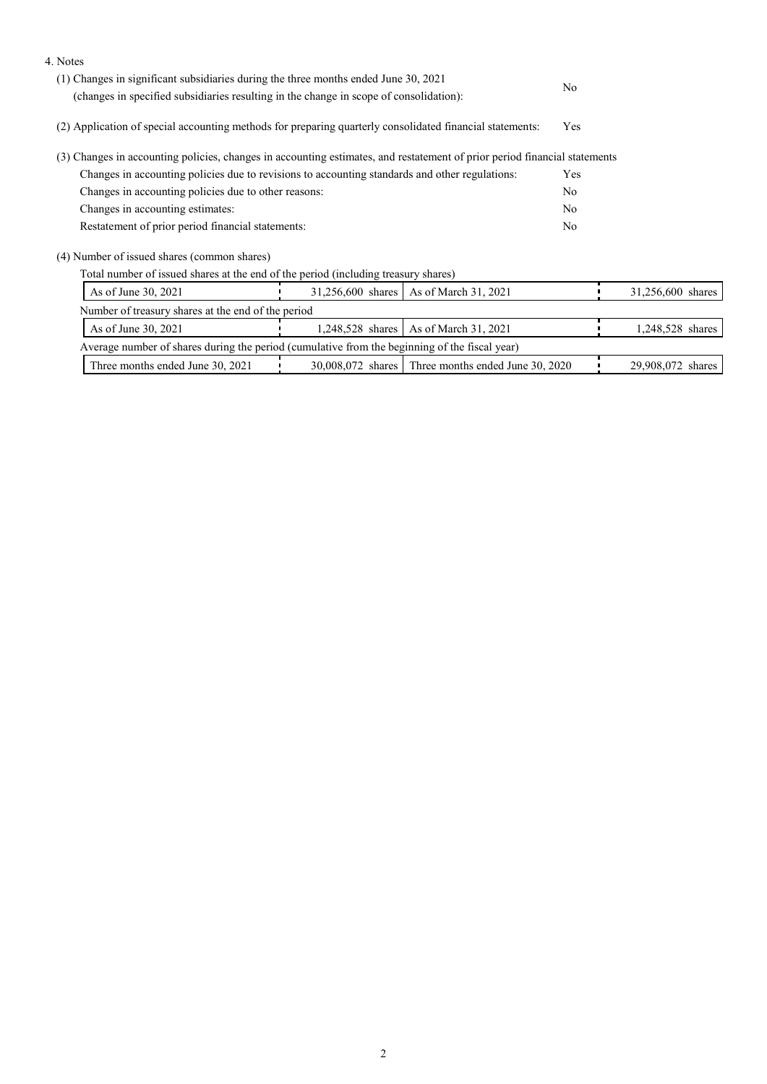| 4. Notes                                                                                                                  |                                                                                                          |                                                      |     |                   |  |
|---------------------------------------------------------------------------------------------------------------------------|----------------------------------------------------------------------------------------------------------|------------------------------------------------------|-----|-------------------|--|
| (1) Changes in significant subsidiaries during the three months ended June 30, 2021                                       |                                                                                                          |                                                      |     |                   |  |
| (changes in specified subsidiaries resulting in the change in scope of consolidation):                                    |                                                                                                          |                                                      | No. |                   |  |
|                                                                                                                           | (2) Application of special accounting methods for preparing quarterly consolidated financial statements: |                                                      |     |                   |  |
| (3) Changes in accounting policies, changes in accounting estimates, and restatement of prior period financial statements |                                                                                                          |                                                      |     |                   |  |
| Changes in accounting policies due to revisions to accounting standards and other regulations:                            |                                                                                                          |                                                      |     |                   |  |
| Changes in accounting policies due to other reasons:                                                                      |                                                                                                          |                                                      |     |                   |  |
| Changes in accounting estimates:                                                                                          |                                                                                                          |                                                      |     |                   |  |
|                                                                                                                           | Restatement of prior period financial statements:                                                        |                                                      |     |                   |  |
| (4) Number of issued shares (common shares)                                                                               |                                                                                                          |                                                      |     |                   |  |
| Total number of issued shares at the end of the period (including treasury shares)                                        |                                                                                                          |                                                      |     |                   |  |
| As of June 30, 2021                                                                                                       | 31,256,600 shares<br>As of March 31, 2021                                                                |                                                      |     | 31,256,600 shares |  |
| Number of treasury shares at the end of the period                                                                        |                                                                                                          |                                                      |     |                   |  |
| As of March 31, 2021<br>As of June 30, 2021<br>1,248,528 shares                                                           |                                                                                                          |                                                      |     | 1,248,528 shares  |  |
| Average number of shares during the period (cumulative from the beginning of the fiscal year)                             |                                                                                                          |                                                      |     |                   |  |
| Three months ended June 30, 2021                                                                                          |                                                                                                          | $30,008,072$ shares Three months ended June 30, 2020 |     | 29,908,072 shares |  |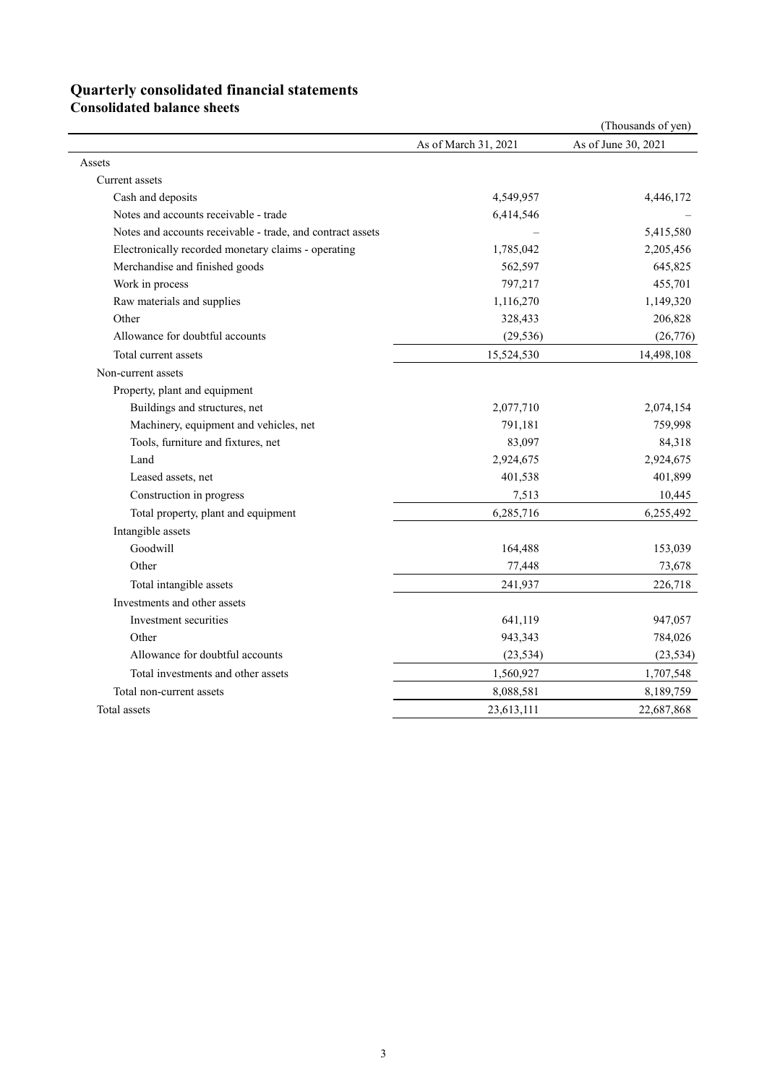### **Quarterly consolidated financial statements**

**Consolidated balance sheets** 

|                                                            |                      | (Thousands of yen)  |
|------------------------------------------------------------|----------------------|---------------------|
|                                                            | As of March 31, 2021 | As of June 30, 2021 |
| Assets                                                     |                      |                     |
| Current assets                                             |                      |                     |
| Cash and deposits                                          | 4,549,957            | 4,446,172           |
| Notes and accounts receivable - trade                      | 6,414,546            |                     |
| Notes and accounts receivable - trade, and contract assets |                      | 5,415,580           |
| Electronically recorded monetary claims - operating        | 1,785,042            | 2,205,456           |
| Merchandise and finished goods                             | 562,597              | 645,825             |
| Work in process                                            | 797,217              | 455,701             |
| Raw materials and supplies                                 | 1,116,270            | 1,149,320           |
| Other                                                      | 328,433              | 206,828             |
| Allowance for doubtful accounts                            | (29, 536)            | (26,776)            |
| Total current assets                                       | 15,524,530           | 14,498,108          |
| Non-current assets                                         |                      |                     |
| Property, plant and equipment                              |                      |                     |
| Buildings and structures, net                              | 2,077,710            | 2,074,154           |
| Machinery, equipment and vehicles, net                     | 791,181              | 759,998             |
| Tools, furniture and fixtures, net                         | 83,097               | 84,318              |
| Land                                                       | 2,924,675            | 2,924,675           |
| Leased assets, net                                         | 401,538              | 401,899             |
| Construction in progress                                   | 7,513                | 10,445              |
| Total property, plant and equipment                        | 6,285,716            | 6,255,492           |
| Intangible assets                                          |                      |                     |
| Goodwill                                                   | 164,488              | 153,039             |
| Other                                                      | 77,448               | 73,678              |
| Total intangible assets                                    | 241,937              | 226,718             |
| Investments and other assets                               |                      |                     |
| Investment securities                                      | 641,119              | 947,057             |
| Other                                                      | 943,343              | 784,026             |
| Allowance for doubtful accounts                            | (23, 534)            | (23, 534)           |
| Total investments and other assets                         | 1,560,927            | 1,707,548           |
| Total non-current assets                                   | 8,088,581            | 8,189,759           |
| Total assets                                               | 23,613,111           | 22,687,868          |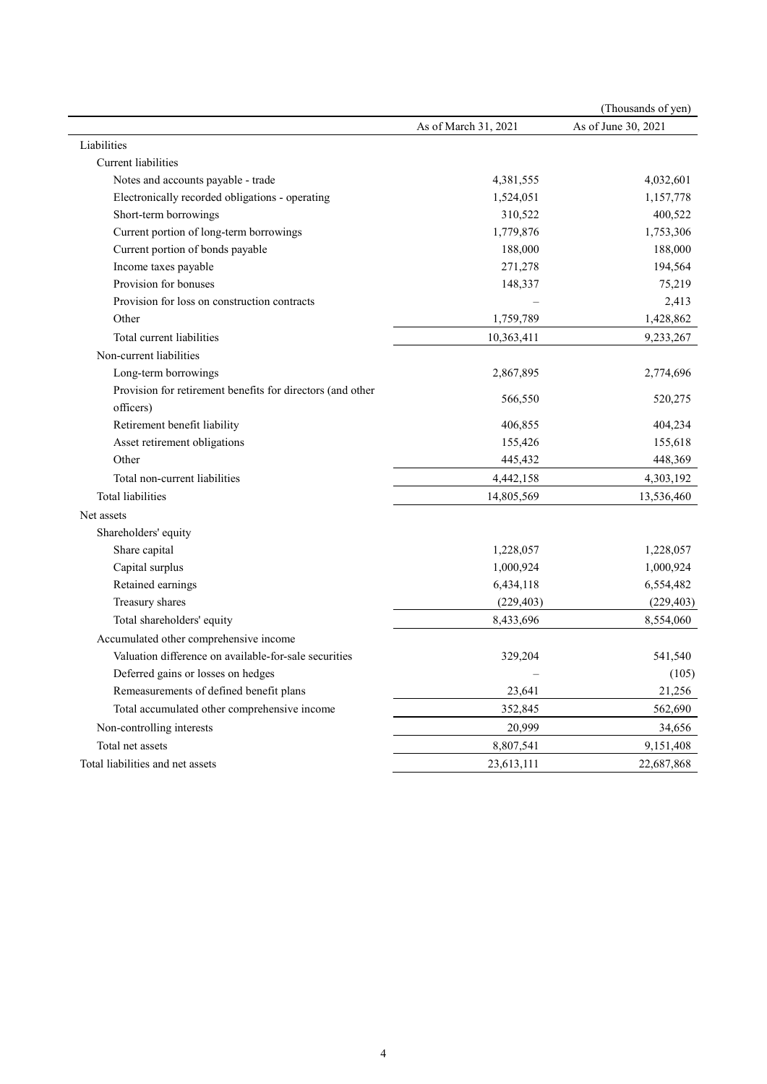|                                                            |                      | (Thousands of yen)  |
|------------------------------------------------------------|----------------------|---------------------|
|                                                            | As of March 31, 2021 | As of June 30, 2021 |
| Liabilities                                                |                      |                     |
| Current liabilities                                        |                      |                     |
| Notes and accounts payable - trade                         | 4,381,555            | 4,032,601           |
| Electronically recorded obligations - operating            | 1,524,051            | 1,157,778           |
| Short-term borrowings                                      | 310,522              | 400,522             |
| Current portion of long-term borrowings                    | 1,779,876            | 1,753,306           |
| Current portion of bonds payable                           | 188,000              | 188,000             |
| Income taxes payable                                       | 271,278              | 194,564             |
| Provision for bonuses                                      | 148,337              | 75,219              |
| Provision for loss on construction contracts               |                      | 2,413               |
| Other                                                      | 1,759,789            | 1,428,862           |
| Total current liabilities                                  | 10,363,411           | 9,233,267           |
| Non-current liabilities                                    |                      |                     |
| Long-term borrowings                                       | 2,867,895            | 2,774,696           |
| Provision for retirement benefits for directors (and other | 566,550              | 520,275             |
| officers)                                                  |                      |                     |
| Retirement benefit liability                               | 406,855              | 404,234             |
| Asset retirement obligations                               | 155,426              | 155,618             |
| Other                                                      | 445,432              | 448,369             |
| Total non-current liabilities                              | 4,442,158            | 4,303,192           |
| Total liabilities                                          | 14,805,569           | 13,536,460          |
| Net assets                                                 |                      |                     |
| Shareholders' equity                                       |                      |                     |
| Share capital                                              | 1,228,057            | 1,228,057           |
| Capital surplus                                            | 1,000,924            | 1,000,924           |
| Retained earnings                                          | 6,434,118            | 6,554,482           |
| Treasury shares                                            | (229, 403)           | (229, 403)          |
| Total shareholders' equity                                 | 8,433,696            | 8,554,060           |
| Accumulated other comprehensive income                     |                      |                     |
| Valuation difference on available-for-sale securities      | 329,204              | 541,540             |
| Deferred gains or losses on hedges                         |                      | (105)               |
| Remeasurements of defined benefit plans                    | 23,641               | 21,256              |
| Total accumulated other comprehensive income               | 352,845              | 562,690             |
| Non-controlling interests                                  | 20,999               | 34,656              |
| Total net assets                                           | 8,807,541            | 9,151,408           |
| Total liabilities and net assets                           | 23,613,111           | 22,687,868          |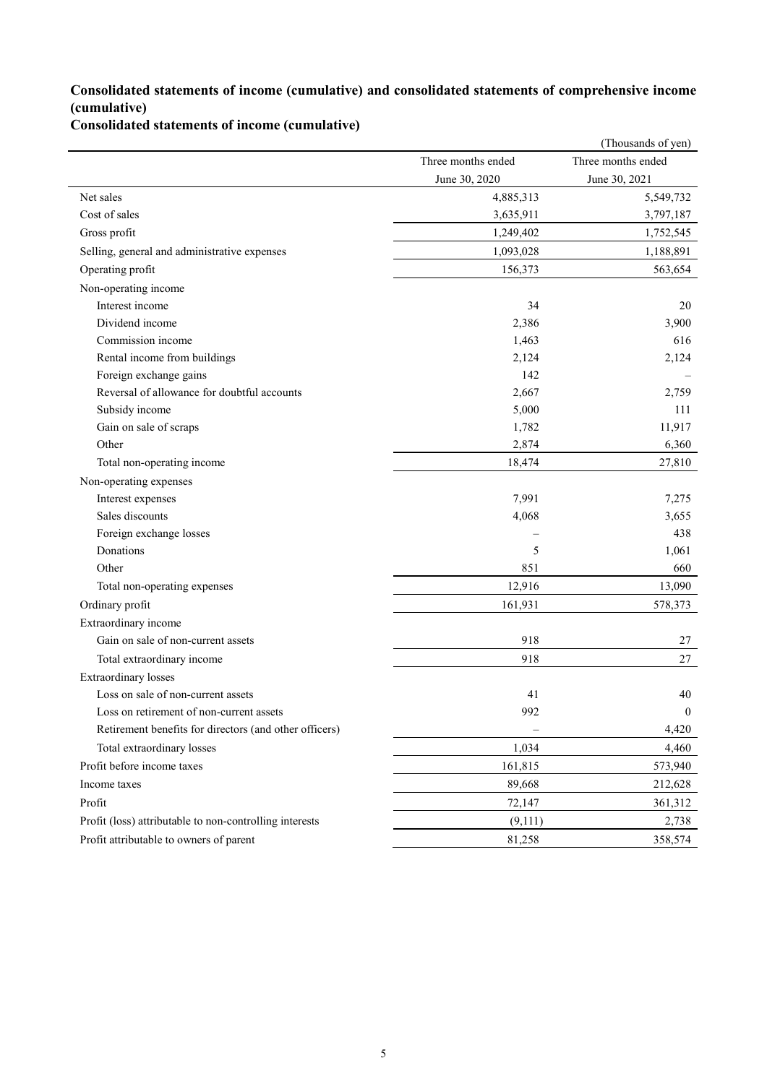### **Consolidated statements of income (cumulative) and consolidated statements of comprehensive income (cumulative)**

**Consolidated statements of income (cumulative)**

|                                                         |                    | (Thousands of yen) |
|---------------------------------------------------------|--------------------|--------------------|
|                                                         | Three months ended | Three months ended |
|                                                         | June 30, 2020      | June 30, 2021      |
| Net sales                                               | 4,885,313          | 5,549,732          |
| Cost of sales                                           | 3,635,911          | 3,797,187          |
| Gross profit                                            | 1,249,402          | 1,752,545          |
| Selling, general and administrative expenses            | 1,093,028          | 1,188,891          |
| Operating profit                                        | 156,373            | 563,654            |
| Non-operating income                                    |                    |                    |
| Interest income                                         | 34                 | 20                 |
| Dividend income                                         | 2,386              | 3,900              |
| Commission income                                       | 1,463              | 616                |
| Rental income from buildings                            | 2,124              | 2,124              |
| Foreign exchange gains                                  | 142                |                    |
| Reversal of allowance for doubtful accounts             | 2,667              | 2,759              |
| Subsidy income                                          | 5,000              | 111                |
| Gain on sale of scraps                                  | 1,782              | 11,917             |
| Other                                                   | 2,874              | 6,360              |
| Total non-operating income                              | 18,474             | 27,810             |
| Non-operating expenses                                  |                    |                    |
| Interest expenses                                       | 7,991              | 7,275              |
| Sales discounts                                         | 4,068              | 3,655              |
| Foreign exchange losses                                 |                    | 438                |
| Donations                                               | 5                  | 1,061              |
| Other                                                   | 851                | 660                |
| Total non-operating expenses                            | 12,916             | 13,090             |
| Ordinary profit                                         | 161,931            | 578,373            |
| Extraordinary income                                    |                    |                    |
| Gain on sale of non-current assets                      | 918                | 27                 |
| Total extraordinary income                              | 918                | 27                 |
| <b>Extraordinary losses</b>                             |                    |                    |
| Loss on sale of non-current assets                      | 41                 | 40                 |
| Loss on retirement of non-current assets                | 992                | $\boldsymbol{0}$   |
| Retirement benefits for directors (and other officers)  |                    | 4,420              |
| Total extraordinary losses                              | 1,034              | 4,460              |
| Profit before income taxes                              | 161,815            | 573,940            |
| Income taxes                                            | 89,668             | 212,628            |
| Profit                                                  | 72,147             | 361,312            |
| Profit (loss) attributable to non-controlling interests | (9,111)            | 2,738              |
| Profit attributable to owners of parent                 | 81,258             | 358,574            |